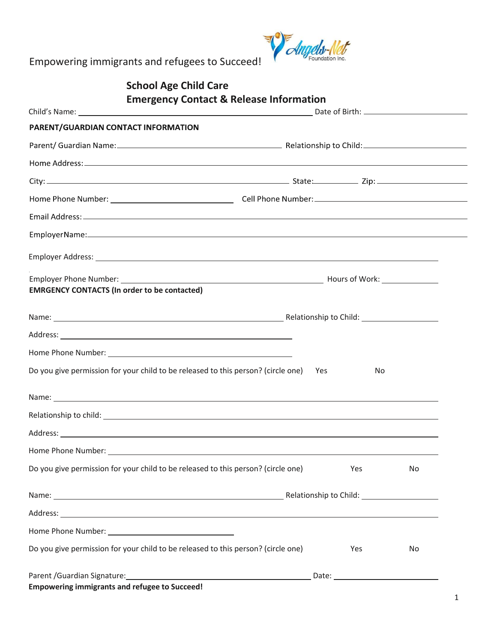

|                                                     | <b>School Age Child Care</b>                                                                                                                                                                                                         |     |           |  |
|-----------------------------------------------------|--------------------------------------------------------------------------------------------------------------------------------------------------------------------------------------------------------------------------------------|-----|-----------|--|
|                                                     | <b>Emergency Contact &amp; Release Information</b>                                                                                                                                                                                   |     |           |  |
| PARENT/GUARDIAN CONTACT INFORMATION                 |                                                                                                                                                                                                                                      |     |           |  |
|                                                     |                                                                                                                                                                                                                                      |     |           |  |
|                                                     |                                                                                                                                                                                                                                      |     |           |  |
|                                                     |                                                                                                                                                                                                                                      |     |           |  |
|                                                     |                                                                                                                                                                                                                                      |     |           |  |
|                                                     |                                                                                                                                                                                                                                      |     |           |  |
|                                                     |                                                                                                                                                                                                                                      |     |           |  |
|                                                     |                                                                                                                                                                                                                                      |     |           |  |
|                                                     | Employer Address: <u>example and a series of the series of the series of the series of the series of the series of the series of the series of the series of the series of the series of the series of the series of the series </u> |     |           |  |
|                                                     |                                                                                                                                                                                                                                      |     |           |  |
| <b>EMRGENCY CONTACTS (In order to be contacted)</b> |                                                                                                                                                                                                                                      |     |           |  |
|                                                     |                                                                                                                                                                                                                                      |     |           |  |
|                                                     |                                                                                                                                                                                                                                      |     |           |  |
|                                                     |                                                                                                                                                                                                                                      |     |           |  |
|                                                     | Do you give permission for your child to be released to this person? (circle one) Yes                                                                                                                                                |     | No        |  |
|                                                     | Name: <u>said</u> and a series of the series of the series of the series of the series of the series of the series of the series of the series of the series of the series of the series of the series of the series of the series   |     |           |  |
|                                                     |                                                                                                                                                                                                                                      |     |           |  |
|                                                     |                                                                                                                                                                                                                                      |     |           |  |
|                                                     |                                                                                                                                                                                                                                      |     |           |  |
|                                                     | Do you give permission for your child to be released to this person? (circle one)                                                                                                                                                    | Yes | <b>No</b> |  |
|                                                     |                                                                                                                                                                                                                                      |     |           |  |
|                                                     | Address: experience and a series of the series of the series of the series of the series of the series of the series of the series of the series of the series of the series of the series of the series of the series of the        |     |           |  |
|                                                     |                                                                                                                                                                                                                                      |     |           |  |
|                                                     | Do you give permission for your child to be released to this person? (circle one)                                                                                                                                                    | Yes | No        |  |
|                                                     | Parent / Guardian Signature: Manual Allen Contract Contract Contract Contract Contract Contract Contract Contr                                                                                                                       |     |           |  |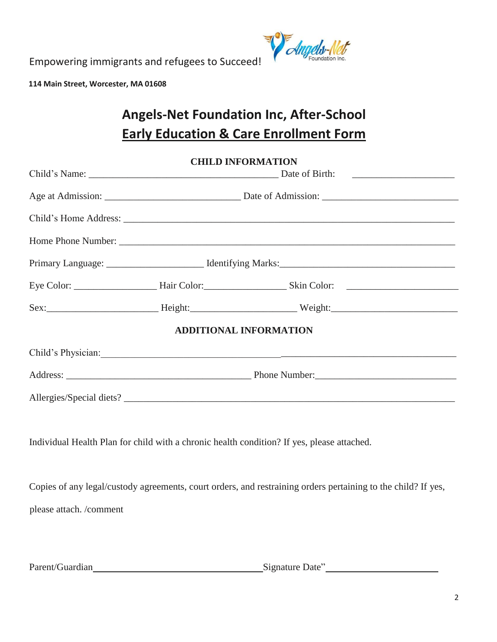

**114 Main Street, Worcester, MA 01608** 

# **Angels-Net Foundation Inc, After-School Early Education & Care Enrollment Form**

|                         |  | <b>CHILD INFORMATION</b>                                                                                      |  |
|-------------------------|--|---------------------------------------------------------------------------------------------------------------|--|
|                         |  |                                                                                                               |  |
|                         |  |                                                                                                               |  |
|                         |  |                                                                                                               |  |
|                         |  |                                                                                                               |  |
|                         |  |                                                                                                               |  |
|                         |  |                                                                                                               |  |
|                         |  |                                                                                                               |  |
|                         |  | ADDITIONAL INFORMATION                                                                                        |  |
|                         |  | Child's Physician:                                                                                            |  |
|                         |  |                                                                                                               |  |
|                         |  |                                                                                                               |  |
|                         |  |                                                                                                               |  |
|                         |  | Individual Health Plan for child with a chronic health condition? If yes, please attached.                    |  |
|                         |  |                                                                                                               |  |
|                         |  | Copies of any legal/custody agreements, court orders, and restraining orders pertaining to the child? If yes, |  |
| please attach. /comment |  |                                                                                                               |  |
|                         |  |                                                                                                               |  |

Parent/Guardian Signature Date" Signature Date"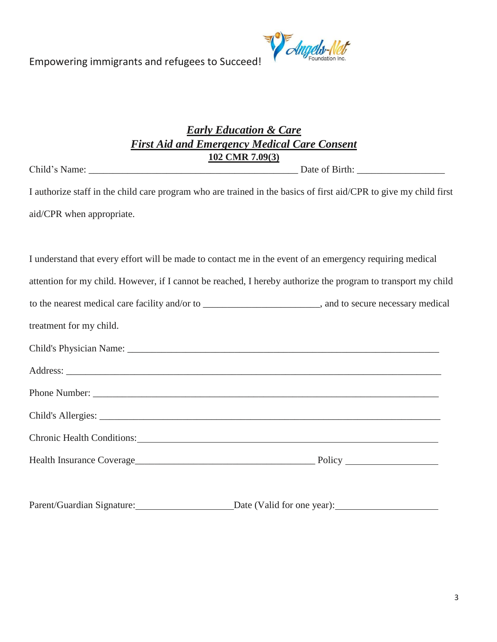

# *Early Education & Care First Aid and Emergency Medical Care Consent* **102 CMR 7.09(3)**

Child's Name: \_\_\_\_\_\_\_\_\_\_\_\_\_\_\_\_\_\_\_\_\_\_\_\_\_\_\_\_\_\_\_\_\_\_\_\_\_\_\_\_\_\_\_ Date of Birth: \_\_\_\_\_\_\_\_\_\_\_\_\_\_\_\_\_\_

I authorize staff in the child care program who are trained in the basics of first aid/CPR to give my child first aid/CPR when appropriate.

|                         | I understand that every effort will be made to contact me in the event of an emergency requiring medical                                                                                                                       |
|-------------------------|--------------------------------------------------------------------------------------------------------------------------------------------------------------------------------------------------------------------------------|
|                         | attention for my child. However, if I cannot be reached, I hereby authorize the program to transport my child                                                                                                                  |
|                         | to the nearest medical care facility and/or to ___________________________, and to secure necessary medical                                                                                                                    |
| treatment for my child. |                                                                                                                                                                                                                                |
|                         | Child's Physician Name: 2008. [2016] The Child's Physician Name: 2016. [2016] The Child's Physician Name: 2016. [2016] The Child of Physician Name: 2016. [2016] The Child of Physician Name: 2016. [2016] The Child of Physic |
|                         |                                                                                                                                                                                                                                |
|                         |                                                                                                                                                                                                                                |
|                         |                                                                                                                                                                                                                                |
|                         | Chronic Health Conditions: 2008 2010 2020 2020 2021 2021 2022 2021 2022 2021 2022 2022 2022 2022 2021 2022 202                                                                                                                 |
|                         |                                                                                                                                                                                                                                |
|                         |                                                                                                                                                                                                                                |
|                         |                                                                                                                                                                                                                                |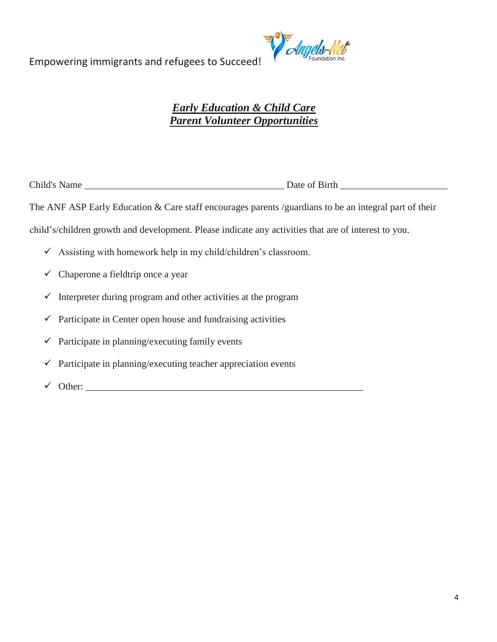

# *Early Education & Child Care Parent Volunteer Opportunities*

Child's Name \_\_\_\_\_\_\_\_\_\_\_\_\_\_\_\_\_\_\_\_\_\_\_\_\_\_\_\_\_\_\_\_\_\_\_\_\_\_\_\_\_ Date of Birth \_\_\_\_\_\_\_\_\_\_\_\_\_\_\_\_\_\_\_\_\_\_

The ANF ASP Early Education & Care staff encourages parents /guardians to be an integral part of their

child's/children growth and development. Please indicate any activities that are of interest to you.

- $\checkmark$  Assisting with homework help in my child/children's classroom.
- $\checkmark$  Chaperone a fieldtrip once a year
- $\checkmark$  Interpreter during program and other activities at the program
- $\checkmark$  Participate in Center open house and fundraising activities
- $\checkmark$  Participate in planning/executing family events
- $\checkmark$  Participate in planning/executing teacher appreciation events
- $\checkmark$  Other: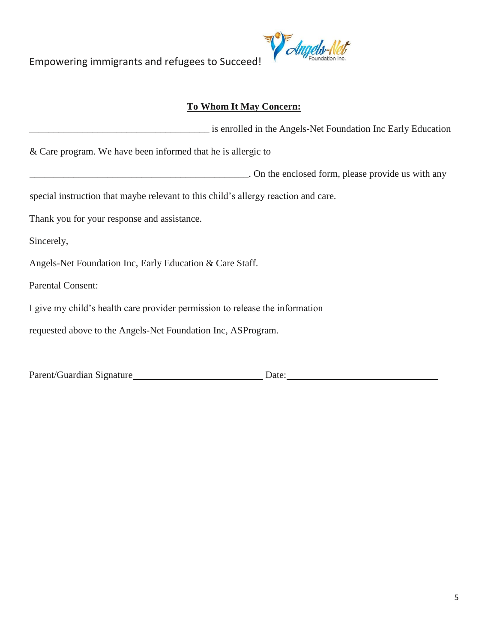

# **To Whom It May Concern:**

|                                                                                    | is enrolled in the Angels-Net Foundation Inc Early Education |
|------------------------------------------------------------------------------------|--------------------------------------------------------------|
| $\&$ Care program. We have been informed that he is allergic to                    |                                                              |
|                                                                                    | . On the enclosed form, please provide us with any           |
| special instruction that maybe relevant to this child's allergy reaction and care. |                                                              |
| Thank you for your response and assistance.                                        |                                                              |
| Sincerely,                                                                         |                                                              |
| Angels-Net Foundation Inc, Early Education & Care Staff.                           |                                                              |
| <b>Parental Consent:</b>                                                           |                                                              |
| I give my child's health care provider permission to release the information       |                                                              |
| requested above to the Angels-Net Foundation Inc, ASProgram.                       |                                                              |
|                                                                                    |                                                              |

Parent/Guardian Signature Date: Date: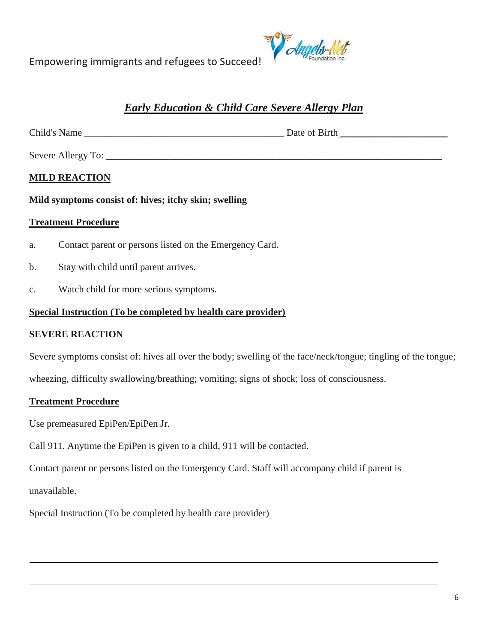

# *Early Education & Child Care Severe Allergy Plan*

Child's Name \_\_\_\_\_\_\_\_\_\_\_\_\_\_\_\_\_\_\_\_\_\_\_\_\_\_\_\_\_\_\_\_\_\_\_\_\_\_\_\_\_ Date of Birth \_\_\_\_\_\_\_\_\_\_\_\_\_\_\_\_\_\_\_\_\_\_

Severe Allergy To: \_\_\_\_\_\_\_\_\_\_\_\_\_\_\_\_\_\_\_\_\_\_\_\_\_\_\_\_\_\_\_\_\_\_\_\_\_\_\_\_\_\_\_\_\_\_\_\_\_\_\_\_\_\_\_\_\_\_\_\_\_\_\_\_\_\_\_\_\_

# **MILD REACTION**

**Mild symptoms consist of: hives; itchy skin; swelling**

#### **Treatment Procedure**

- a. Contact parent or persons listed on the Emergency Card.
- b. Stay with child until parent arrives.
- c. Watch child for more serious symptoms.

#### **Special Instruction (To be completed by health care provider)**

### **SEVERE REACTION**

Severe symptoms consist of: hives all over the body; swelling of the face/neck/tongue; tingling of the tongue;

wheezing, difficulty swallowing/breathing; vomiting; signs of shock; loss of consciousness.

### **Treatment Procedure**

Use premeasured EpiPen/EpiPen Jr.

Call 911. Anytime the EpiPen is given to a child, 911 will be contacted.

Contact parent or persons listed on the Emergency Card. Staff will accompany child if parent is

unavailable.

Special Instruction (To be completed by health care provider)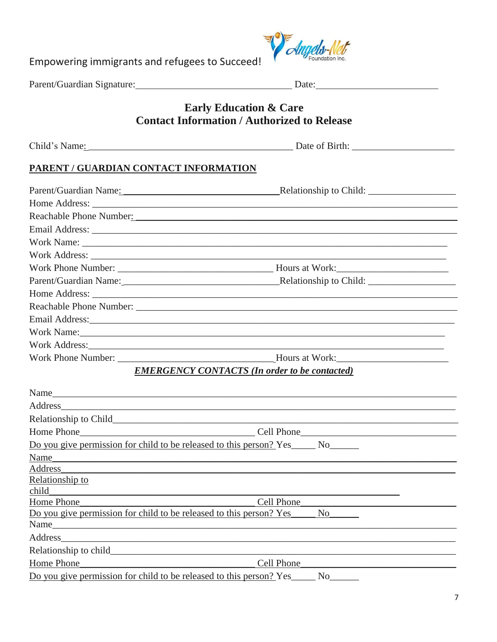

| <b>Early Education &amp; Care</b><br><b>Contact Information / Authorized to Release</b>                                                                                                                                                |                                                      |  |  |  |  |
|----------------------------------------------------------------------------------------------------------------------------------------------------------------------------------------------------------------------------------------|------------------------------------------------------|--|--|--|--|
|                                                                                                                                                                                                                                        |                                                      |  |  |  |  |
| PARENT / GUARDIAN CONTACT INFORMATION                                                                                                                                                                                                  |                                                      |  |  |  |  |
|                                                                                                                                                                                                                                        |                                                      |  |  |  |  |
|                                                                                                                                                                                                                                        |                                                      |  |  |  |  |
| Reachable Phone Number: Nearly 2008                                                                                                                                                                                                    |                                                      |  |  |  |  |
|                                                                                                                                                                                                                                        |                                                      |  |  |  |  |
|                                                                                                                                                                                                                                        |                                                      |  |  |  |  |
|                                                                                                                                                                                                                                        |                                                      |  |  |  |  |
|                                                                                                                                                                                                                                        |                                                      |  |  |  |  |
|                                                                                                                                                                                                                                        |                                                      |  |  |  |  |
|                                                                                                                                                                                                                                        |                                                      |  |  |  |  |
|                                                                                                                                                                                                                                        |                                                      |  |  |  |  |
| Email Address: and a manufacturer of the state of the state of the state of the state of the state of the state of the state of the state of the state of the state of the state of the state of the state of the state of the         |                                                      |  |  |  |  |
| Work Name: North Commission Commission Commission Commission Commission Commission Commission Commission Commission                                                                                                                    |                                                      |  |  |  |  |
|                                                                                                                                                                                                                                        |                                                      |  |  |  |  |
| Work Phone Number: New York: New York: New York: New York: New York: New York: New York: New York: New York: New York: New York: New York: New York: New York: New York: New York: New York: New York: New York: New York: New         |                                                      |  |  |  |  |
|                                                                                                                                                                                                                                        | <b>EMERGENCY CONTACTS (In order to be contacted)</b> |  |  |  |  |
|                                                                                                                                                                                                                                        |                                                      |  |  |  |  |
| Name<br>Address and the contract of the contract of the contract of the contract of the contract of the contract of the contract of the contract of the contract of the contract of the contract of the contract of the contract of th |                                                      |  |  |  |  |
|                                                                                                                                                                                                                                        |                                                      |  |  |  |  |
|                                                                                                                                                                                                                                        |                                                      |  |  |  |  |
| Do you give permission for child to be released to this person? Yes______ No_                                                                                                                                                          |                                                      |  |  |  |  |
| Name                                                                                                                                                                                                                                   |                                                      |  |  |  |  |
| Address                                                                                                                                                                                                                                |                                                      |  |  |  |  |
| Relationship to                                                                                                                                                                                                                        |                                                      |  |  |  |  |
| child                                                                                                                                                                                                                                  |                                                      |  |  |  |  |
| Home Phone                                                                                                                                                                                                                             | Cell Phone                                           |  |  |  |  |
| Do you give permission for child to be released to this person? Yes                                                                                                                                                                    | N <sub>o</sub>                                       |  |  |  |  |
| Name                                                                                                                                                                                                                                   |                                                      |  |  |  |  |
| Address                                                                                                                                                                                                                                |                                                      |  |  |  |  |
|                                                                                                                                                                                                                                        |                                                      |  |  |  |  |
| Home Phone                                                                                                                                                                                                                             | Cell Phone                                           |  |  |  |  |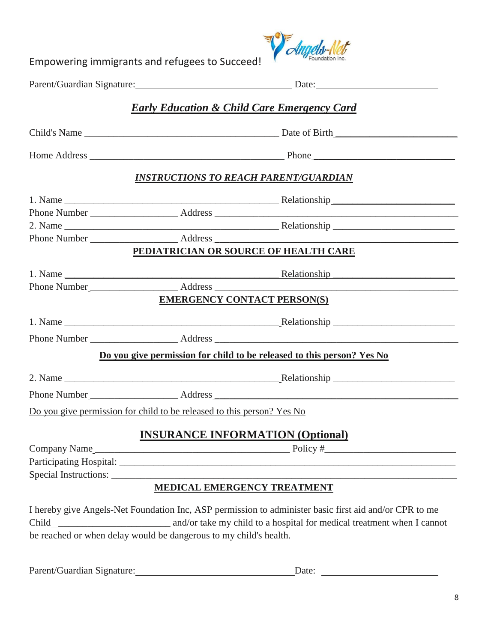

|                                                                            | Parent/Guardian Signature: Date: Date:                                                                                                                                           |
|----------------------------------------------------------------------------|----------------------------------------------------------------------------------------------------------------------------------------------------------------------------------|
|                                                                            | <b>Early Education &amp; Child Care Emergency Card</b>                                                                                                                           |
|                                                                            |                                                                                                                                                                                  |
|                                                                            |                                                                                                                                                                                  |
|                                                                            | <b>INSTRUCTIONS TO REACH PARENT/GUARDIAN</b>                                                                                                                                     |
|                                                                            |                                                                                                                                                                                  |
|                                                                            |                                                                                                                                                                                  |
|                                                                            | 2. Name Relationship                                                                                                                                                             |
|                                                                            |                                                                                                                                                                                  |
|                                                                            | PEDIATRICIAN OR SOURCE OF HEALTH CARE                                                                                                                                            |
|                                                                            |                                                                                                                                                                                  |
|                                                                            |                                                                                                                                                                                  |
|                                                                            | <b>EMERGENCY CONTACT PERSON(S)</b>                                                                                                                                               |
|                                                                            |                                                                                                                                                                                  |
|                                                                            |                                                                                                                                                                                  |
|                                                                            | Do you give permission for child to be released to this person? Yes No                                                                                                           |
|                                                                            |                                                                                                                                                                                  |
|                                                                            |                                                                                                                                                                                  |
| Do you give permission for child to be released to this person? Yes No     |                                                                                                                                                                                  |
|                                                                            | <b>INSURANCE INFORMATION (Optional)</b>                                                                                                                                          |
|                                                                            |                                                                                                                                                                                  |
|                                                                            |                                                                                                                                                                                  |
|                                                                            |                                                                                                                                                                                  |
|                                                                            | <b>MEDICAL EMERGENCY TREATMENT</b>                                                                                                                                               |
| Child<br>be reached or when delay would be dangerous to my child's health. | I hereby give Angels-Net Foundation Inc, ASP permission to administer basic first aid and/or CPR to me<br>and/or take my child to a hospital for medical treatment when I cannot |

Parent/Guardian Signature: Date: Date: Date: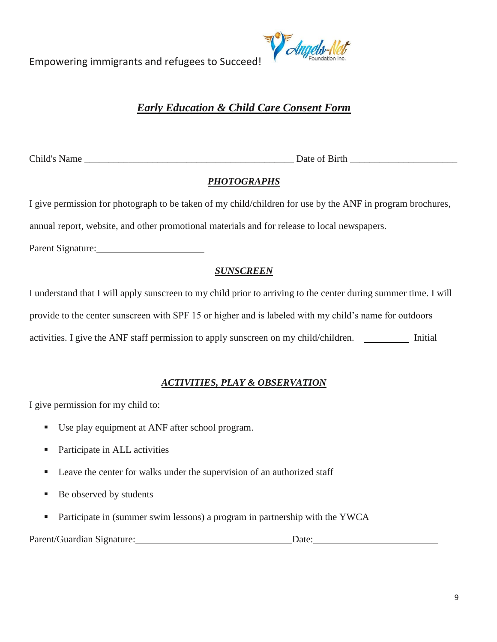

# *Early Education & Child Care Consent Form*

Child's Name \_\_\_\_\_\_\_\_\_\_\_\_\_\_\_\_\_\_\_\_\_\_\_\_\_\_\_\_\_\_\_\_\_\_\_\_\_\_\_\_\_\_\_ Date of Birth \_\_\_\_\_\_\_\_\_\_\_\_\_\_\_\_\_\_\_\_\_\_

# *PHOTOGRAPHS*

I give permission for photograph to be taken of my child/children for use by the ANF in program brochures,

annual report, website, and other promotional materials and for release to local newspapers.

Parent Signature:

# *SUNSCREEN*

I understand that I will apply sunscreen to my child prior to arriving to the center during summer time. I will provide to the center sunscreen with SPF 15 or higher and is labeled with my child's name for outdoors activities. I give the ANF staff permission to apply sunscreen on my child/children. \_\_\_\_\_\_\_\_\_\_\_ Initial

# *ACTIVITIES, PLAY & OBSERVATION*

I give permission for my child to:

- Use play equipment at ANF after school program.
- Participate in ALL activities
- Leave the center for walks under the supervision of an authorized staff
- Be observed by students
- Participate in (summer swim lessons) a program in partnership with the YWCA

Parent/Guardian Signature: Date: Date: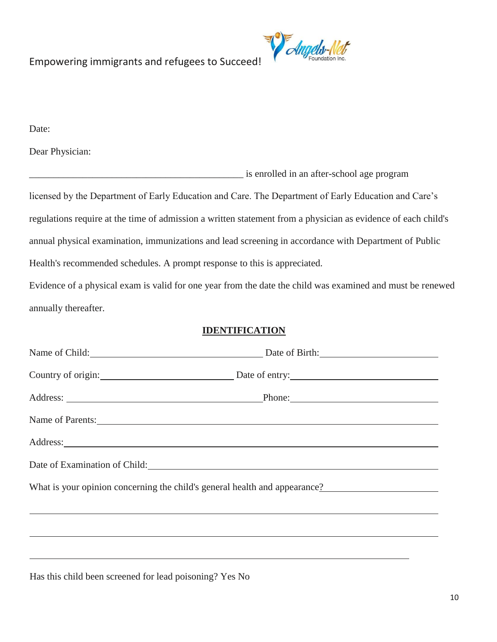

Date:

Dear Physician:

\_\_\_\_\_\_\_\_\_\_\_\_\_\_\_\_\_\_\_\_\_\_\_\_\_\_\_\_\_\_\_\_\_\_\_\_\_\_\_\_\_\_\_\_ is enrolled in an after-school age program licensed by the Department of Early Education and Care. The Department of Early Education and Care's regulations require at the time of admission a written statement from a physician as evidence of each child's annual physical examination, immunizations and lead screening in accordance with Department of Public Health's recommended schedules. A prompt response to this is appreciated.

Evidence of a physical exam is valid for one year from the date the child was examined and must be renewed annually thereafter.

### **IDENTIFICATION**

|                                                                                                                                                                                                                                | Name of Child: Date of Birth: Date of Birth:                               |
|--------------------------------------------------------------------------------------------------------------------------------------------------------------------------------------------------------------------------------|----------------------------------------------------------------------------|
|                                                                                                                                                                                                                                | Country of origin: Date of entry:                                          |
|                                                                                                                                                                                                                                |                                                                            |
| Name of Parents:                                                                                                                                                                                                               |                                                                            |
|                                                                                                                                                                                                                                |                                                                            |
| Date of Examination of Child: 1999 and 2009 and 2009 and 2009 and 2009 and 2009 and 2009 and 2009 and 2009 and 2009 and 2009 and 2009 and 2009 and 2009 and 2009 and 2009 and 2009 and 2009 and 2009 and 2009 and 2009 and 200 |                                                                            |
|                                                                                                                                                                                                                                | What is your opinion concerning the child's general health and appearance? |
|                                                                                                                                                                                                                                |                                                                            |
|                                                                                                                                                                                                                                |                                                                            |
|                                                                                                                                                                                                                                |                                                                            |

Has this child been screened for lead poisoning? Yes No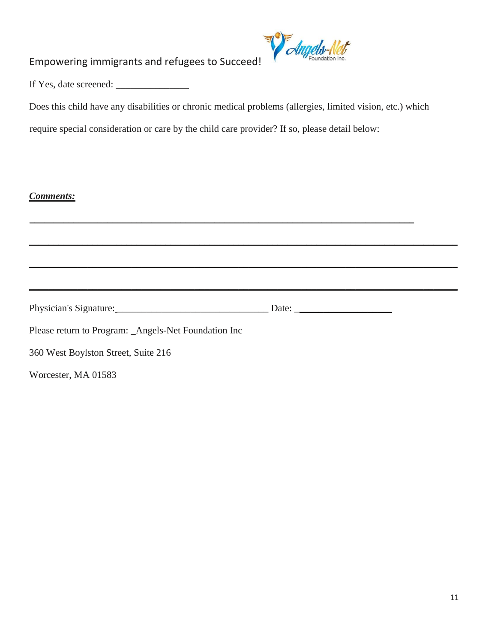

If Yes, date screened: \_\_\_\_\_\_\_\_\_\_\_\_\_\_\_

Does this child have any disabilities or chronic medical problems (allergies, limited vision, etc.) which

require special consideration or care by the child care provider? If so, please detail below:

### *Comments:*

|                                                      | Date: |  |
|------------------------------------------------------|-------|--|
| Please return to Program: _Angels-Net Foundation Inc |       |  |
| 360 West Boylston Street, Suite 216                  |       |  |
| Worcester, MA 01583                                  |       |  |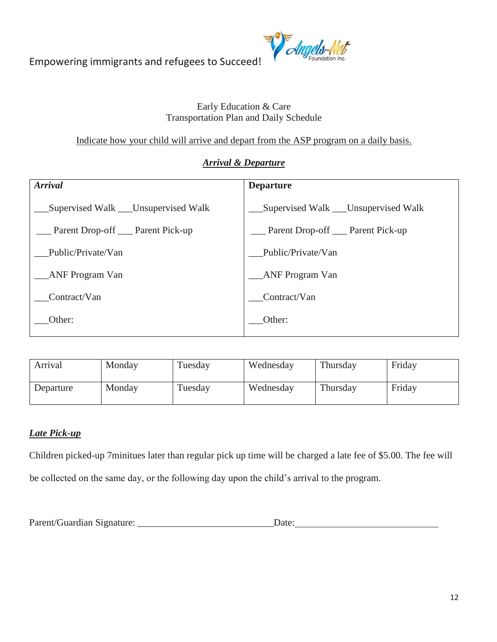

# Early Education & Care Transportation Plan and Daily Schedule

Indicate how your child will arrive and depart from the ASP program on a daily basis.

# *Arrival & Departure*

| <b>Arrival</b>                        | <b>Departure</b>                      |
|---------------------------------------|---------------------------------------|
| Supervised Walk ___ Unsupervised Walk | Supervised Walk ___ Unsupervised Walk |
| Parent Drop-off ___ Parent Pick-up    | Parent Drop-off ___ Parent Pick-up    |
| Public/Private/Van                    | Public/Private/Van                    |
| ANF Program Van                       | <b>ANF Program Van</b>                |
| Contract/Van                          | Contract/Van                          |
| Other:                                | Other:                                |

| Arrival   | Monday | Tuesday | Wednesday | Thursday | Friday |
|-----------|--------|---------|-----------|----------|--------|
| Departure | Monday | Tuesday | Wednesday | Thursday | Friday |

# *Late Pick-up*

Children picked-up 7minitues later than regular pick up time will be charged a late fee of \$5.00. The fee will be collected on the same day, or the following day upon the child's arrival to the program.

Parent/Guardian Signature: \_\_\_\_\_\_\_\_\_\_\_\_\_\_\_\_\_\_\_\_\_\_\_\_\_\_\_\_Date: